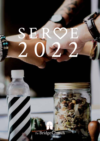# S E R E 2022

**TERRORATIONISM** 

The Bridge Church

Z

7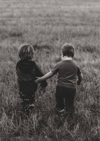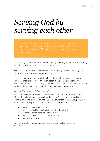# *Serving God by serving each other*

At The Bridge Church, we aim to be a community gathering around God's word, using our gifts to build the church in love and bear witness to Jesus.

We serve God as we serve one another. Motivated by grace, empowered by God's Spirit and characterized by love and humility.

There are many ways to serve at church. This booklet lists a range of areas where church members can serve, with a short description on each and approximate commitments. Have a read through! If you need further information, each area has a designated staff contact who would be more than happy to assist you.

#### *How do I know where I should serve?*

If you are someone who seeks to live a life both publicly and privately that honours God and His church, just begin small and begin now! A good place to start is by committing to one 'in gathering' and one 'wider church family' serving opportunity. Perhaps look through the list of opportunities and ask yourself:

- What do I have a passion for?
- What gifts/abilities has God given me that I could offer?
- Where do others see God's gifts in my life?
- How much time do I have available to serve?
- Why do I want to serve?

Are you willing to contribute your abilities to lovingly building others up in following Jesus?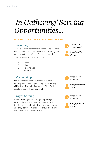# *'In Gathering' Serving Opportunities...*

#### **DURING YOUR REGULAR CHURCH GATHERING**

#### *Welcoming*

The Welcoming Team seeks to makes all newcomers feel comfortable and welcomed –before, during and after the gathering. Online Training provided. There are usually 4 roles within the team:

- 1. Greeter
- 2. Usher
- 3. Welcome Desk
- 4. Connector

# *Bible Reading*

We are called to devote ourselves to the public reading of scripture, to preaching and to teaching (1Tim 4:13). Through His word, the Bible, God speaks to us clearly and powerfully.

# *Prayer Leading*

Praying in our gatherings is a great privilege. Leading these prayers helps us to praise God together as a people united in Him, confess our sins, and bring before Him the needs of our church, our community and the wider world.





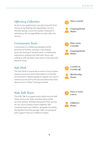# *Offertory Collection*

Assist in your gathering to worship God with their money by facilitating and organising in service member giving. Count the number of people in attendance. Re-arrange Bibles on seats after the service.

#### *Communion Team*

Communion is a visible proclamation of the promises of God for salvation. Like a family meal, the sharing of 'bread & wine' is a fellowship experience, uniting us by faith with Jesus, and uniting us with all others who share in the body and blood of Jesus.

#### *Info Desk*

The Info Desk is to provide an area in church where anyone can access more information in a friendly environment. It allows people to register for church events/courses and to ask any questions they have about church. Online Training provided.

# *Kids Talk Team*

The Kids Talk is an opportunity within the Kirribilli 10am service the 10am and 4pm Neutral Bay services and the 1030am Macquarie Park service, for our church family to learn together. We creatively teach our children, alongside the adults, the big idea from the passage. Talks are prepared with support from our Children's Pastor.

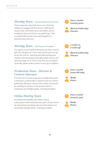#### *Worship Team - Sound desk & ProPresenter*

These separate roles both serve our church by helping us engage with the service. With great sound, clear and timely lyrics and slides, we are enabled to focus on God in our gatherings. This is a behind the scenes role requiring gifts of attentiveness and care.

#### *Worship Team - Musicians & Vocalists*

Our goal is to see faithful stewards use their musical gifts for the glory of Christ with joyful hearts as we serve His church, 'teaching and admonishing one another with all wisdom through psalms, hymns and spiritual songs' (Col 3:16). If you feel you are gifted musically, please make contact to set up an audition.

#### *Production Team - Director & Camera Operator*

The director & camera operators enable those who cannot join us physically to connect into our church gathering. We place value on this online community by working to produce a live stream which is consistent and of high quality. Training provided.

# *Online Hosting Team*

An online host enables the online church community to feel welcome and a part of the church by welcoming, providing relevant information and praying for people online. Training provided.





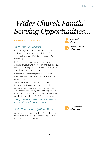# *'Wider Church Family' Serving Opportunities...*

**CHILDREN** *(WWCC required) Children's* 

#### *Kids Church Leaders*

For kids 1+ years, Kids Church runs each Sunday during term time at our 10am Kirribilli, 10am and 4pm Neutral Bay and 1030am Macquarie Park gatherings

In Kids Church we are committed to growing disciples of Jesus who live for Him and love like Him. We do this through creative teaching, small group discipleship, modelling and fun.

Children learn the same passage as the sermon each week to enable our community to learn and grow together.

Jesus says to welcome kids and teach them well. In Mark 9:36 Jesus warmly welcomes children and says that when we do likewise in His name, we welcome Him. Serving kids is serving Jesus. In training our kids to love and follow Him as children, we give them the best gift of life and love possible.

*Each year we are in need of additional leaders as our kids church continues to grow!*

# *Kids Church Set Up/Pack Down*

Are you able to support the Kids Church leaders by assisting in the set up or packing away of Kids Church resources on a Sunday?



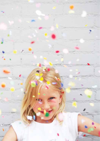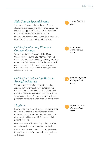# *Kids Church Special Events*

We run special events during the year for our children at church to invite their friends to. We also use these as opportunities to invite our Playtime, Bridge Kids and Ignite families to church.

Events could include Mega Monday (pupil free day), Mini World Cup and activities at Christmas.

#### *Crèche for Morning Women's Connect Groups*

Tuesday (at Kirribilli & Macquarie Park) and Wednesday (at Neutral Bay) Morning Women's Connect Groups are Bible Study and Prayer Groups for women of all stages of life. For the women with pre-school aged children, a crèche is provided. Could you serve these women by caring for their children at this time?

#### *Crèche for Wednesday Morning Everyday English*

This amazing ministry is designed to help the growing number of members of our community from overseas, to improve their English and read the Bible. Childcare is provided for those with preschool aged children. Are you able to serve these parents by caring for their children during this time?

#### *Playtime*

Running Monday (Neutral Bay), Thursday (Kirribilli) and Friday (Macquarie Park) mornings during school term, Playtime is a church run, community playgroup for children aged 0-5 years and their parents or carers.

Help out weekly with welcoming and sign in, play, craft, singing, Bible stories and/or morning tea.

Reach out to families in the community, providing them with a relaxed, fun connection to church and each other. **9**







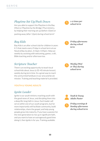#### *Playtime Set Up/Pack Down*

Are you able to support the Playtime in the Bay (Mon) or Playtime by the Bridge (Thu) ministry, by helping their morning set up (before 10am) or packing away (after 12pm) during school term?

#### *Bay Kids*

Bay Kids is an after school club for children in years K-5 that meets every Friday in school term at our Neutral Bay location, 3:15pm-4:45pm. Help out weekly by assisting with welcoming, games, craft, Bible teaching and/or afternoon tea.

# *Scripture Teacher*

There's an exciting opportunity to teach local school kids about Jesus (a 30-40 minute lesson), weekly during term time. Its a great way to reach the unchurched familiues in our area and be oin mission. Training and teaching material is provided.

#### **YOUTH & YOUNG ADULTS**

# *Ignite Leader*

Ignite is our youth ministry reaching youth with the good news of Jesus, and discipling them into a deep life-long faith in Jesus. Each leader will serve within one of our youth programs, but far more importantly will facilitate community, build relationships, share the gospel, and help young people grow into maturity. If you have a passion for the next generation to rise up in significant faith, and you want to have an outrageously good time doing it, then Ignite is for you. Training available.





*Weekly (Wed or Thu) during school term*



*Friday evenings & Sunday afternoons during school term*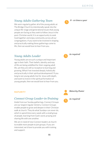#### *Young Adults Gathering Team*

We semi-regularly gather all of the young adults at The Bridge Church to intentionally speak into the unique life-stage and generational issues that young people are facing as they seek to follow Jesus in the post-Christian world. It is an opportunity to seek God together and enjoy community across all our congregations. If you want to be involved in shaping and practically making these gatherings come to life, then we would love to hear from you.

#### *Young Adults Leader*

Young adults are at such a unique and important age in their faith. Their beliefs, identity and way of life are being solidified for their ongoing adult life, yet they are still so receptive to learning and growing. What if we invested deeply, holistically and practically in their spiritual development? If you long to see young adults live for Jesus with depth, and want to invest in the spiritual formation of young people, then we would love to hear from you.

#### **MATURITY**

#### *Connect Group Leader-in-Training*

Aside from our Sunday gatherings, Connect Groups are our largest regular ministry. Connect Groups enable people to grow and deepen in their Christian walk at church. They do what Sundays can never do, which is spend time every week with a small group of people, learning from God's word, praying and sharing life with one another.

We are in need of new Connect leaders at church to enable more people to join groups. If you are interested, we'd love to provide you with training and support.





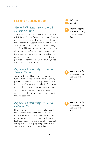#### **MISSIONS: NEIGHBOURHOOD**

#### *Alpha & Christianity Explored Course Leading*

These two courses are run over 10 (Alpha) and 7 (Christianity Explored) weekly sessions on Tuesday mornings and evenings. They are designed to give the convinced atheist through to the regular church attender, the time and space to consider the big questions of life and explore the person and claims at the heart of the Christian faith – Jesus Christ.

Be involved in this ministry through leading small group discussions (materials and leaders training provided), or be trained to run the course yourself with a friend or small group.

#### *Alpha & Christianity Explored Prayer Team*

Join us on the front line of the spiritual battle for hearts and minds. Commit weekly to praying privately or meeting with other prayers to cover this ministry in prayer and plead with God for our guests, while we plead with our guests for God.

You could even be part of assisting course attendees to integrate into your congregation if they start attending.

#### *Alpha & Christianity Explored Catering Team*

Help facilitate the friendships and fellowship that are so integral to these courses, by cooking or purchasing dinner (costs reimbursed) for 10-20 people on one night of our course. Alternatively, facilitate hospitality at each week of one course by setting up the church, preparing cheese platters and helping serve and pack away dinner.



*Duration of the course, as many courses as you like*

*Duration of the course, as many courses as you like*

*Duration of the course, as many courses as you like*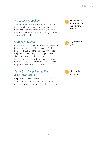# *Walk up Evangelism*

Thousands of people who live in our community, don't know the saving grace of Jesus. But we do! Come and be trained on the job by experienced walk up evangelists in how to share the good news of Jesus with people.

#### *Outreach Events*

Over the year, church holds various themed events, for members and the wider community (eg Kids Mini World Cup, God and Science, Living Single, Gingerbread Decorating etc). It's a great way for church to engage with the community, from a Christian perspective, on topics that are relevant to them. Do you have gifts of event co-ordination, hospitality, logistics or communication?

#### *Letterbox Drop Bundle Prep & Co-ordination*

Prepare our community postcards for letterbox drops (1-2 hours), and ensure Connect Groups receive their bundles and distribute their postcards. *Once a month and/or during community events*



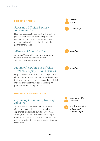#### **MISSIONS: NATIONS**

#### *Serve as a Mission Partner Representative*

Help your congregation connect with one of our global mission partners by providing updates in your gatherings, prayer points for our prayer meetings and develop a relationship with the partners themselves.

#### *Missions Administration*

Assist the Missions Director by co-ordinating monthly mission updates and provide administrative help as required.

#### *Manage & Update our Mission Partners Display Area in Church*

Help our church express our partnerships with our global mission partners by creating and keeping up to date our mission partner area near the bookstall. Includes printing off newsletters and keeping partner mission cards up to date.

#### **MISSIONS: COMMUNITY CARE**

#### *Greenway Community Housing Ministry*

Share the love of Jesus with the residents of Greenway community housing, through a an explorer's Bible study followed by a free meal. Serving in this ministry can involve assisting in running the Bible study, preparation and serving of lunch or just getting alongside people with good conversation.









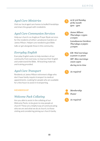# *Aged Care Ministries*

Visit our local aged care homes to builkd friendships and share the gospel with residednts

# *Aged Care Communion Services*

Help our church run Anglican Prayer Book services for the residents of either Lansdowne Gardens or James Milson. Helpers are needed to give Bible talks or get alongside those in this community.

# *Everyday English*

Everyday English seeks to help members of our community from overseas, to improve their English and understand the Bible. All teaching materials and training provided.

# *Aged Care Transport*

Residents at James Milson retirement village who don't have family require transport to medical appointments. Looking for people who are available for a few hours to assist in transporting.

#### **MEMBERSHIP**

#### *Welcome Pack Collating*

Are you able to assist in the collating of our Welcome Packs, to be given to new people at church? These are a helpful way of communicating who we are and what we do at church, to those visiting and considering joining our church family.

- *1st & 3rd Sunday of the month 2pm - 4pm*
- *James Milson: Thursdays 1:15pm-2:00pm Lansdaowne Gardens: Thursdays 2:30pm-3:00pm*
- *KB: Wed mornings 9:30am-11:30am MP: Mon mornings 10am-12pm during term time*





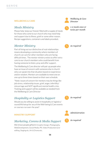#### **WELLBEING & CARE**

#### *Meals Ministry*

Please help keep our freezer filled with a supply of meals for those who come to our church who may need help and support due to illness, grief or some other reason. Recipe suggestions, containers and labels provided..

#### *Mentor Ministry*

Part of living out our distinctive of real relationships means developing a community where members of church can care for other members who are facing difficult times. The mentor ministry exists to offer extra care to our church members who could benefit from having someone to listen, pray and offer support.

The Wellbeing & Care director will pair up people who have an issue of concern with someone else in church who can speak into that situation based on experience and/or wisdom. Mentors are available to meet one on one up to three times based on their own schedule.

\*Note: issues of concern for mentors may be things like job stress, relationship issues, grief, anger, infertility/ miscarriage and NOT significant mental health crisis. Training and support will be available as needed from the Wellbeing & Care Director

#### *Hospitality or Logistics Support*

Would you be willing to assist in hospitality or logistics/ sound/AV/setup for any of the Well-being & Care events or courses run over rhe year?

#### **MINISTRY SUPPORT**

#### *Marketing, Comms & Media Support*

We'd love people gifted in Graphic Design, Photography, WebDevelopment, Social Media, PR, Video Production &/or editing, Staging etc, Art & Drama etc.

*Wellbeing & Care Director*

> *1-2 meals once or twice per month*

*As required*



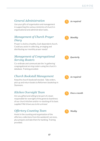# *General Administration*

Use your gifts of organisation and management in supporting the various ministries of church in organisational and administration tasks.

#### *Management of Church Prayer Diary*

Prayer is vital to a healthy, God-dependent church. Could you assist in collecting, arranging and distributing our monthly prayer needs?

#### *Management of Congregational Serving Rosters*

Co-ordinate and communicate the 'in gathering' congregational serving rosters using the church's database. Training provided.

# *Church Bookstall Management*

Keep the church bookstall stocked. Take orders, pick up and return books to Reformers bookshop in Stanmore.

# *Kitchen Oversight Team*

Are you gifted and willing to be part of a team responsible for oversight of the general cleanliness of our church kitchen and/or re-stocking of its basic supplies? We'd love you to let us know!

# *Offertory Counting Team*

Assist in the counting and organisation of the offertory collections from the weekend's services, plus prepare and take them for banking. Training provided.

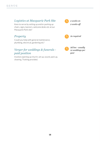#### *Logistics at Macquarie Park Site*

Keen to serve by setting up and/or packing up chairs, signs, banners, welcome desks etc at our Macquarie Park site?

#### *Property*

Could you help with general maintenance, plumbing, electrical, gardening etc?

#### *Verger for weddings & funerals paid position*

Involves opening up church, set up, sound, pack up, cleaning. Training provided.

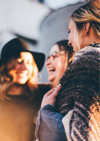